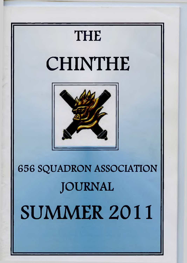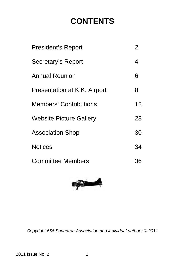# **CONTENTS**

| President's Report             | 2                 |
|--------------------------------|-------------------|
| Secretary's Report             | 4                 |
| <b>Annual Reunion</b>          | 6                 |
| Presentation at K.K. Airport   | 8                 |
| <b>Members' Contributions</b>  | $12 \overline{ }$ |
| <b>Website Picture Gallery</b> | 28                |
| <b>Association Shop</b>        | 30                |
| <b>Notices</b>                 | 34                |
| <b>Committee Members</b>       | 36                |



*Copyright 656 Squadron Association and individual authors © 2011*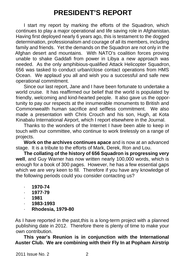# **PRESIDENT'S REPORT**

I start my report by marking the efforts of the Squadron, which continues to play a major operational and life saving role in Afghanistan. Having first deployed nearly 6 years ago, this is testament to the dogged determination, professionalism and courage of all its members, including family and friends. Yet the demands on the Squadron are not only in the Afghan desert and mountains. With NATO's coalition forces proving unable to shake Gaddafi from power in Libya a new approach was needed. As the only amphibious-qualified Attack Helicopter Squadron, 656 was tasked to conduct urban/close contact operations from HMS Ocean. We applaud you all and wish you a successful and safe new operational commitment.

 Since our last report, Jane and I have been fortunate to undertake a world cruise. It has reaffirmed our belief that the world is populated by friendly, welcoming and kind-hearted people. It also gave us the opportunity to pay our respects at the innumerable monuments to British and Commonwealth human sacrifice and selfless commitment. We also made a presentation with Chris Crouch and his son, Hugh, at Kota Kinabalu International Airport, which I report elsewhere in the Journal.

 Thanks to the wonders of the Internet I have been able to keep in touch with our committee, who continue to work tirelessly on a range of projects.

 **Work on the archives continues apace** and is now at an advanced stage. It is a tribute to the efforts of Mark, Derek, Ron and Lou.

 **The collating of the history of 656 Squadron is progressing very well**, and Guy Warner has now written nearly 100,000 words, which is enough for a book of 300 pages. However, he has a few essential gaps which we are very keen to fill. Therefore if you have any knowledge of the following periods could you consider contacting us?

- · **1970-74**
- · **1977-79**
- · **1981**
- · **1983-1993**
- · **Rhodesia, 1979-80**

As I have reported in the past,this is a long-term project with a planned publishing date in 2012. Therefore there is plenty of time to make your own contribution.

 **This year's Reunion is in conjunction with the International Auster Club. We are combining with their Fly In at Popham Airstrip**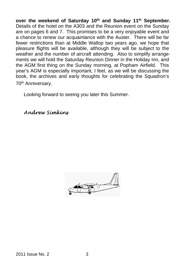**over the weekend of Saturday 10th and Sunday 11th September.** Details of the hotel on the A303 and the Reunion event on the Sunday are on pages 6 and 7. This promises to be a very enjoyable event and a chance to renew our acquaintance with the Auster. There will be far fewer restrictions than at Middle Wallop two years ago, we hope that pleasure flights will be available, although they will be subject to the weather and the number of aircraft attending. Also to simplify arrangements we will hold the Saturday Reunion Dinner in the Holiday Inn, and the AGM first thing on the Sunday morning, at Popham Airfield. This year's AGM is especially important, I feel, as we will be discussing the book, the archives and early thoughts for celebrating the Squadron's 70<sup>th</sup> Anniversary.

Looking forward to seeing you later this Summer.

Andrew Simkins

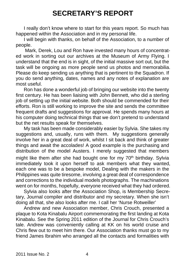# **SECRETARY'S REPORT**

 I really don't know where to start for this years report. So much has happened within the Association and in my personal life.

 I will begin with thanks, on behalf of the Association, to a number of people.

 Mark, Derek, Lou and Ron have invested many hours of concentrated work in sorting out our archives at the Museum of Army Flying. I understand that the end is in sight, of the initial massive sort out, but the task will be ongoing as more people send us photos and memorabilia. Please do keep sending us anything that is pertinent to the Squadron. If you do send anything, dates, names and any notes of explanation are most useful.

 Ron has done a wonderful job of bringing our website into the twenty first century. He has been liaising with John Bennett, who did a sterling job of setting up the initial website. Both should be commended for their efforts. Ron is still working to improve the site and sends the committee frequent drafts and suggestions for approval. He spends many hours at his computer doing technical things that we don't pretend to understand but the net results speak for themselves.

 My task has been made considerably easier by Sylvia. She takes my suggestions and, usually, runs with them. My suggestions generally involve her in a great deal of work, whilst I sit back and think of greater things and await the accolades! A good example is the purchasing and distribution of the model Austers. I merely suggested that members might like them after she had bought one for my  $70<sup>th</sup>$  birthday. Sylvia immediately took it upon herself to ask members what they wanted, each one was to be a bespoke model, Dealing with the makers in the Philippines was quite tiresome, involving a great deal of correspondence and corrections to the individual models photographs. The machinations went on for months, hopefully, everyone received what they had ordered.

 Sylvia also looks after the Association Shop, is Membership Secretary, Journal compiler and distributor and my secretary. When she isn't doing all that, she also looks after me. I call her 'Nurse Rotweiller'

 Andrew and new Association member, Chris Crouch, presented a plaque to Kota Kinabalu Airport commemorating the first landing at Kota Kinabalu. See the Spring 2011 edition of the Journal for Chris Crouch's tale. Andrew was conveniently calling at KK on his world cruise and Chris flew out to meet him there. Our Association thanks must go to my friend James Ibrahim who arranged all the contacts and formalities with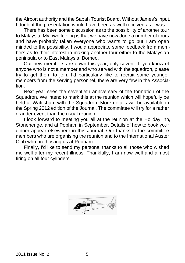the Airport authority and the Sabah Tourist Board. Without James's input, I doubt if the presentation would have been as well received as it was.

 There has been some discussion as to the possibility of another tour to Malaysia. My own feeling is that we have now done a number of tours and have probably taken everyone who wants to go but I am open minded to the possibility. I would appreciate some feedback from members as to their interest in making another tour either to the Malaysian peninsula or to East Malaysia, Borneo.

 Our new members are down this year, only seven. If you know of anyone who is not a member and who served with the squadron, please try to get them to join. I'd particularly like to recruit some younger members from the serving personnel, there are very few in the Association.

 Next year sees the seventieth anniversary of the formation of the Squadron. We intend to mark this at the reunion which will hopefully be held at Wattisham with the Squadron. More details will be available in the Spring 2012 edition of the Journal. The committee will try for a rather grander event than the usual reunion.

 I look forward to meeting you all at the reunion at the Holiday Inn, Stonehenge, and at Popham in September. Details of how to book your dinner appear elsewhere in this Journal. Our thanks to the committee members who are organising the reunion and to the International Auster Club who are hosting us at Popham.

 Finally, I'd like to send my personal thanks to all those who wished me well after my recent illness. Thankfully, I am now well and almost firing on all four cylinders.

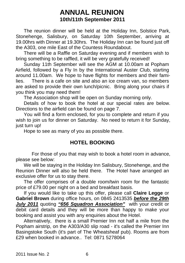# **ANNUAL REUNION 10th/11th September 2011**

 The reunion dinner will be held at the Holiday Inn, Solstice Park, Stonehenge, Salisbury, on Saturday 10th September, arriving at 19.00hrs with Dinner at 19.30hrs. The Holiday Inn can be found just off the A303, one mile East of the Countess Roundabout.

 There will be a Raffle on Saturday evening and if members wish to bring something to be raffled, it will be very gratefully received!

 Sunday 11th September will see the AGM at 10.00am at Popham Airfield, followed by a Fly In by the International Auster Club, starting around 11.00am. We hope to have flights for members and their families. There is a cafe on site and also an ice cream van, so members are asked to provide their own lunch/picnic. Bring along your chairs if you think you may need them!

The Association shop will be open on Sunday morning only.

 Details of how to book the hotel at our special rates are below. Directions to the airfield can be found on page 7.

 You will find a form enclosed, for you to complete and return if you wish to join us for dinner on Saturday. No need to return it for Sunday. just turn up!

Hope to see as many of you as possible there.

## **HOTEL BOOKING**

 For those of you that may wish to book a hotel room in advance, please see below:

 We will be staying in the Holiday Inn Salisbury, Stonehenge, and the Reunion Dinner will also be held there. The Hotel have arranged an exclusive offer for us to stay there.

 The offer comprises of a double room/twin room for the fantastic price of £79.00 per night on a bed and breakfast basis.

 If you would like to take up this offer, please call **Claire Legge** or **Gabriel Brown** during office hours, on 0845 2413535 *before the 29th July 2011* quoting *"656 Squadron Association"* with your credit or debit card details and they will be more than happy to make your booking and assist you with any enquiries about the Hotel.

 Alternatively, there is a small Premier Inn not half a mile from the Popham airstrip, on the A303/A30 slip road - it's called the Premier Inn Basingstoke South (it's part of The Wheatsheaf pub). Rooms are from £29 when booked in advance.. Tel: 0871 5278064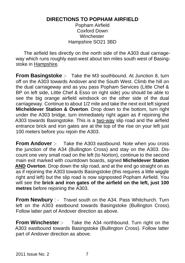# **DIRECTIONS TO POPHAM AIRFIELD**

Popham Airfield Coxford Down **Winchester** Hampshire SO21 3BD

 The airfield lies directly on the north side of the A303 dual carriageway which runs roughly east-west about ten miles south west of Basingstoke in Hampshire.

**From Basingstoke** :- Take the M3 southbound. At Junction 8, turn off on the A303 towards Andover and the South West. Climb the hill on the dual carriageway and as you pass Popham Services (Little Chef & BP on left side, Little Chef & Esso on right side) you should be able to see the big orange airfield windsock on the other side of the dual carriageway. Continue to about 1/2 mile and take the next exit left signed **Micheldever Station & Overton**. Drop down to the bottom, turn right under the A303 bridge, turn immediately right again as if rejoining the A303 towards Basingstoke. This is a two-way slip road and the airfield entrance brick and iron gates are at the top of the rise on your left just 100 meters before you rejoin the A303.

**From Andover** :- Take the A303 eastbound. Note when you cross the junction of the A34 (Bullington Cross) and stay on the A303. Discount one very small road on the left (to Norton), continue to the second main exit marked with countdown boards, signed **Micheldever Station AND Overton**. Drop down the slip road, and at the end go straight on as as if rejoining the A303 towards Basingstoke (this requires a little wiggle right and left) but the slip road is now signposted Popham Airfield. You will see the **brick and iron gates of the airfield on the left, just 100 metres** before rejoining the A303.

**From Newbury** : - Travel south on the A34. Pass Whitchurch. Turn left on the A303 eastbound towards Basingstoke (Bullington Cross). Follow latter part of Andover direction as above.

**From Winchester** :- Take the A34 northbound. Turn right on the A303 eastbound towards Basingstoke (Bullington Cross). Follow latter part of Andover direction as above.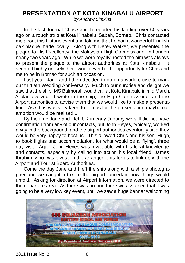# **PRESENTATION AT KOTA KINABALU AIRPORT**

*by Andrew Simkins*

 In the last Journal Chris Crouch reported his landing over 50 years ago on a rough strip at Kota Kinabalu, Sabah, Borneo. Chris contacted me about this historic event and told me that he had a wonderful English oak plaque made locally. Along with Derek Walker, we presented the plaque to His Excellency, the Malaysian High Commissioner in London nearly two years ago. While we were royally hosted the aim was always to present the plaque to the airport authorities at Kota Kinabalu. It seemed highly unlikely there would ever be the opportunity for Chris and me to be in Borneo for such an occasion.

 Last year, Jane and I then decided to go on a world cruise to mark our thirtieth Wedding Anniversary. Much to our surprise and delight we saw that the ship, MS Balmoral, would call at Kota Kinabalu in mid March. A plan evolved. I wrote to the ship, the High Commissioner and the Airport authorities to advise them that we would like to make a presentation. As Chris was very keen to join us for the presentation maybe our ambition would be realised ...

 By the time Jane and I left UK in early January we still did not have confirmation from any of our contacts, but John Heyes, typically, worked away in the background, and the airport authorities eventually said they would be very happy to host us. This allowed Chris and his son, Hugh, to book flights and accommodation, for what would be a 'flying', three day visit. Again John Heyes was invaluable with his local knowledge and contacts, especially by calling into action his local friend, James Ibrahim, who was pivotal in the arrangements for us to link up with the Airport and Tourist Board Authorities.

 Come the day Jane and I left the ship along with a ship's photographer and we caught a taxi to the airport, uncertain how things would unfold. Asking for direction at Airport Information, we were directed to the departure area. As there was no-one there we assumed that it was going to be a very low key event, until we saw a huge banner welcoming

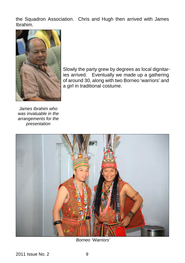the Squadron Association. Chris and Hugh then arrived with James Ibrahim.



Slowly the party grew by degrees as local dignitaries arrived. Eventually we made up a gathering of around 30, along with two Borneo 'warriors' and a girl in traditional costume.

*James Ibrahim who was invaluable in the arrangements for the presentation*



*Borneo 'Warriors'*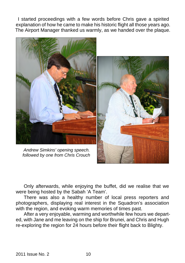I started proceedings with a few words before Chris gave a spirited explanation of how he came to make his historic flight all those years ago. The Airport Manager thanked us warmly, as we handed over the plaque.



 Only afterwards, while enjoying the buffet, did we realise that we were being hosted by the Sabah 'A Team'.

 There was also a healthy number of local press reporters and photographers, displaying real interest in the Squadron's association with the region, and evoking warm memories of times past.

 After a very enjoyable, warming and worthwhile few hours we departed, with Jane and me leaving on the ship for Brunei, and Chris and Hugh re-exploring the region for 24 hours before their flight back to Blighty.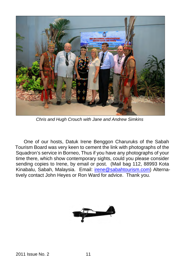

*Chris and Hugh Crouch with Jane and Andrew Simkins*

 One of our hosts, Datuk Irene Benggon Charuruks of the Sabah Tourism Board was very keen to cement the link with photographs of the Squadron's service in Borneo, Thus if you have any photographs of your time there, which show contemporary sights, could you please consider sending copies to Irene, by email or post. (Mail bag 112, 88993 Kota Kinabalu, Sabah, Malaysia. Email: irene@sabahtourism.com) Alternatively contact John Heyes or Ron Ward for advice. Thank you.

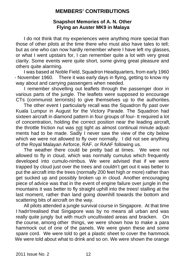# **MEMBERS' CONTRIBUTIONS**

#### **Snapshot Memories of A. N. Other Flying an Auster MK9 in Malaya**

 I do not think that my experiences were anything more special than those of other pilots at the time there who must also have tales to tell; but as one who can now hardly remember where I have left my glasses, or what I went upstairs for, I can remember quite a lot with very great clarity. Some events were quite short, some giving great pleasure and others quite alarming.

 I was based at Noble Field, Squadron Headquarters, from early 1960 - November 1960. There it was early days in flying, getting to know my way about and carrying passengers when needed.

 I remember shovelling out leaflets through the passenger door in various parts of the jungle. The leaflets were supposed to encourage CTs (communist terrorists) to give themselves up to the authorities.

 The other event I particularly recall was the Squadron fly past over Kuala Lumpur in August for the Victory Parade. The Squadron had sixteen aircraft in diamond pattern in four groups of four- It required a lot of concentration, holding the correct position near the leading aircraft, the throttle friction nut was not tight as almost continual minute adjustments had to be made. Sadly I never saw the view of the city below which we were not allowed to fly over normally. I did not see anything of the Royal Malayan Airforce, RAF. or RAAF following us.

The weather there could be pretty bad at times. We were not allowed to fly in cloud, which was normally cumulus which frequently developed into cumulo-nimbus. We were advised that if we were trapped by cloud just over the trees and couldn't get out it was better to put the aircraft into the trees (normally 200 feet high or more) rather than get sucked up and possibly broken up in cloud. Another encouraging piece of advice was that in the event of engine failure over jungle in the mountains it was better to fly straight uphill into the trees! stalling at the last moment, rather than land going downhill towards the bottom and scattering bits of aircraft on the way.

 All pilots attended a jungle survival course in Singapore. At that time I hadn't realised that Singapore was by no means all urban and was really quite jungly but with much uncultivated areas and bracken. On the course, among other things, we were shown how to make a para hammock out of one of the panels. We were given these and some spare cord. We were told to get a plastic sheet to cover the hammock. We were told about what to drink and so on. We were shown the orange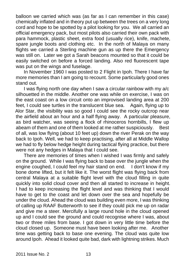balloon we carried which was (as far as I can remember in this case) chemically inflated and in theory put up between the trees on a very long cord and hope to be spotted by a pilot looking for you. We all carried an official emergency pack, but most pilots also carried their own pack with para hammock, plastic sheet, extra food (usually rice), knife, machete, spare jungle boots and clothing etc. In the north of Malaya on many flights we carried a Sterling machine gun as up there the Emergency was still on. Later we got a Sarah beacons mounted so that it could be easily switched on before a forced landing. Also red fluorescent tape was put on the wings and fuselage.

 In November 1960 I was posted to 2 Flight in Ipoh. There I have far more memories than I am going to recount. Some particularly good ones stand out.

 I was flying north one day when I saw a circular rainbow with my a/c silhouetted in the middle. Another one was while on exercise, I was on the east coast on a low circuit onto an improvised landing area at 200 feet, I could see turtles in the translucent blue sea. Again, flying up to Alor Star, the visibility was so good I could see the rocky outcrop near the airfield about an hour and a half flying away. A particular pleasure, as bird watcher, was seeing a flock of rhinoceros hornbills, I flew up abeam of them and one of them looked at me rather suspiciously. Best of all, was low flying (about 10 feet up) down the river Perak on the way back to Ipoh. Well, we had to keep practising, after all at Middle Wallop we had to fly below hedge height during tactical flying practice, but there were not any hedges in Malaya that I could see.

 There are memories of times when I wished I was firmly and safely on the ground. While I was flying back to base over the jungle when the engine coughed, I could feel my hair stand on end. I don't know if my bone dome lifted, but it felt like it. The worst flight was flying back from central Malaya at a suitable flight level with the cloud filling in quite quickly into solid cloud cover and then all started to increase in height. I had to keep increasing the flight level and was thinking that I would have to get to the coast and let down over the sea and hopefully be under the cloud. Ahead the cloud was building even more, I was thinking of calling up RAAF Butterworth to see if they could pick me up on radar and give me a steer. Mercifully a large round hole in the cloud opened up and I could see the ground and could recognise where I was, about two or three miles from base. I got down in very little time before the cloud closed up. Someone must have been looking after me. Another time was getting back to base one evening. The cloud was quite low around Ipoh. Ahead it looked quite bad, dark with lightning strikes. Much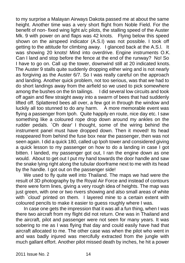to my surprise a Malayan Airways Dakota passed me at about the same height. Another time was a very short flight from Noble Field. For the benefit of non- fixed wing light a/c pilots, the stalling speed of the Auster Mk. 9 with power on and flaps was 42 knots. Flying below this speed shown on the airspeed indicator (A.S.I) was not possible. I took off getting to the attitude for climbing away. I glanced back at the A.S.l. It was showing 20 knots! Mind into overdrive. Engine instruments O.K. Can I land and stop before the fence at the end of the runway? No! So I have to go on. Call up the tower, downwind still at 20 indicated knots. The Auster 9 stalls quite suddenly dropping either wing and is not nearly as forgiving as the Auster 6/7. So I was really careful on the approach and landing. Another quick problem, not too serious, was that we had to do short landings away from the airfield so we used to pick somewhere among the bushes on the tin tailings. I did several low circuits and took off again and flew straight away into a swarm of bees that had suddenly lifted off. Splattered bees all over, a few got in through the window and luckily all too stunned to do any harm. A more memorable event was flying a passenger from Ipoh. Quite happily en route, nice day etc. I saw something like a coloured rope drop down around my ankles on the rudder pedals. `Oh dear' I thought, some of the wiring behind the instrument panel must have dropped down. Then it moved! Its head reappeared from behind the fuse box near the passenger, then was not seen again. I did a quick 180, called up Ipoh tower and considered giving a quick lesson to my passenger on how to do a landing in case I got bitten. I landed, my passenger got out, I ran the engine down as one would. About to get out I put my hand towards the door handle and saw the snake lying right along the tubular doorframe next to me with its head by the handle. I got out on the passenger side!

 We used to fly quite well into Thailand. The maps we had were the result of 3D photography by the Royal Air Force and instead of contours there were form lines, giving a very rough idea of heights. The map was just green, with one or two rivers showing and also small areas of white with `cloud' printed on them. I layered mine to a certain extent with coloured pencils to make it easier to guess roughly where I was.

 In case one gets the impression that it was all a fun thing, when I was there two aircraft from my flight did not return. One was in Thailand and the aircraft, pilot and passenger were not seen for many years. It was sobering to me as I was flying that day and could easily have had that aircraft allocated to me. The other case was when the pilot who went in and was badly injured was mercifully extracted from the jungle with much gallant effort. Another pilot missed death by inches, he hit a power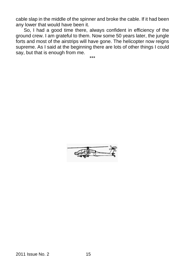cable slap in the middle of the spinner and broke the cable. If it had been any lower that would have been it.

 So, I had a good time there, always confident in efficiency of the ground crew. I am grateful to them. Now some 50 years later, the jungle forts and most of the airstrips will have gone. The helicopter now reigns supreme. As I said at the beginning there are lots of other things I could say, but that is enough from me.

\*\*\*

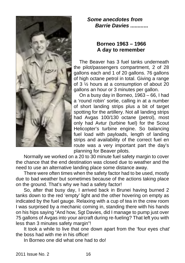

## *Some anecdotes from Barrie Davies .........***...**

## **Borneo 1963 – 1966 A day to remember**

 The Beaver has 3 fuel tanks underneath the pilot/passengers compartment, 2 of 28 gallons each and 1 of 20 gallons. 76 gallons of high octane petrol in total. Giving a range of 3 ½ hours at a consumption of about 20 gallons an hour or 3 minutes per gallon.

 On a busy day in Borneo, 1963 – 66, I had a 'round robin' sortie, calling in at a number of short landing strips plus a bit of target spotting for the artillery. Not all landing strips had Avgas 100/130 octane (petrol), most only had Avtur (turbine fuel) for the Scout Helicopter's turbine engine. So balancing fuel load with payloads, length of landing strips and availability of the correct fuel en route was a very important part the day's planning for Beaver pilots.

 Normally we worked on a 20 to 30 minute fuel safety margin to cover the chance that the end destination was closed due to weather and the need to use an alternative landing place some distance away.

 There were often times when the safety factor had to be used, mostly due to bad weather but sometimes because of the actions taking place on the ground. That's why we had a safety factor!

 So, after that busy day, I arrived back in Brunei having burned 2 tanks down to the red 'empty' light and the other hovering on empty as indicated by the fuel gauge. Relaxing with a cup of tea in the crew room I was surprised by a mechanic coming in, standing there with his hands on his hips saying "And how, Sgt Davies, did I manage to pump just over 75 gallons of Avgas into your aircraft during re-fueling? That left you with less than 3 minutes safety margin"!

 It took a while to live that one down apart from the 'four eyes chat' the boss had with me in his office!

In Borneo one did what one had to do!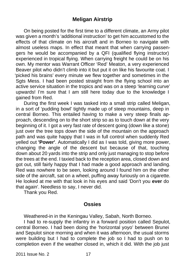# **Meligan Airstrip**

 On being posted for the first time to a different climate, an Army pilot was given a month's 'additional instruction' to get him accustomed to the effects of that climate on his aircraft and in Borneo to navigate with almost useless maps. In effect that meant that when carrying passengers he would be accompanied by a QFI (qualified flying instructor) experienced in tropical flying. When carrying freight he could be on his own. My mentor was Warrant Officer 'Red' Meaton, a very experienced Beaver pilot who didn't climb into it but put it on like his favourite coat. I 'picked his brains' every minute we flew together and sometimes in the Sgts Mess. I had been posted straight from the flying school into an active service situation in the tropics and was on a steep 'learning curve' upwards! I'm sure that I am still here today due to the knowledge I gained from Red.

 During the first week I was tasked into a small strip called Meligan, in a sort of 'pudding bowl' tightly made up of steep mountains, deep in central Borneo. This entailed having to make a very steep finals approach, descending on to the short strip so as to touch down at the very beginning of it. I got a very fast rate of descent going (down like a stone) just over the tree tops down the side of the mountain on the approach path and was quite happy that I was in full control when suddenly Red yelled out **'Power'**. Automatically I did as I was told, giving more power, changing the angle of the descent but because of that, touching down about 20 yards into the strip and only just managing to stop before the trees at the end. I taxied back to the reception area, closed down and got out, still fairly happy that I had made a good approach and landing. Red was nowhere to be seen, looking around I found him on the other side of the aircraft, sat on a wheel, puffing away furiously on a cigarette. He looked at me with that look in his eyes and said 'Don't you **ever** do that again'. Needless to say, I never did.

Thank you Red.

#### **Ossies**

Weathered-in in the Keningau Valley, Sabah, North Borneo.

 I had to re-supply the infantry in a forward position called Sepulot, central Borneo. I had been doing the 'horizontal yoyo' between Brunei and Sepulot since morning and when it was afternoon, the usual storms were building but I had to complete the job so I had to push on to completion even if the weather closed in, which it did. With the job just

2011 Issue No. 2 17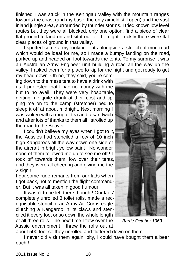finished I was stuck in the Keningau Valley with the mountain ranges towards the coast (and my base, the only airfield still open) and the vast inland jungle area, surrounded by thunder storms. I tried known low level routes but they were all blocked, only one option, find a piece of clear flat ground to land on and sit it out for the night. Luckily there were flat clear pieces of ground in that valley.

 I spotted some army looking tents alongside a stretch of mud road which would be ideal for me, so I made a bumpy landing on the road, parked up and headed on foot towards the tents. To my surprise it was an Australian Army Engineer unit building a road all the way up the valley. I asked them for a place to kip for the night and got ready to get

my head down. Oh no, they said, you're coming down to the mess tent to have a drink with us. I protested that I had no money with me but to no avail. They were very hospitable, getting me quite drunk at their cost and tipping me on to the camp (stretcher) bed to sleep it off at about midnight. Next morning I was woken with a mug of tea and a sandwich and after lots of thanks to them all I strolled up the road to the Beaver.

 I couldn't believe my eyes when I got to it, the Aussies had stenciled a row of 10 inch high Kangaroos all the way down one side of the aircraft in bright yellow paint ! No wonder none of them followed me up to see me off ! I took off towards them, low over their tents, and they were all cheering and giving me the V sign !

I got some rude remarks from our lads when I got back, not to mention the flight commander. But it was all taken in good humour.

 It wasn't to be left there though ! Our lads' completely unrolled 3 toilet rolls, made a recognisable stencil of an Army Air Corps eagle clutching a Kangaroo in its claws and stenciled it every foot or so down the whole length of all three rolls. The next time I flew over the

Aussie encampment I threw the rolls out at about 500 foot so they unrolled and fluttered down on them.

 I never did visit them again, pity, I could have bought them a beer each !



*Barrie October 1963*

2011 Issue No. 2 18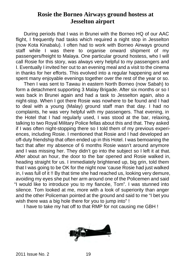# **Rosie the Borneo Airways ground hostess at Jesselton airport**

 During periods that I was in Brunei with the Borneo HQ of our AAC flight, I frequently had tasks which required a night stop in Jesselton (now Kota Kinabalu). I often had to work with Borneo Airways ground staff while I was there to organise onward shipment of my passengers/freight to Malaya. One particular ground hostess, who I will call Rosie for this story, was always very helpful to my passengers and I. Eventually I invited her out to an evening meal and a visit to the cinema in thanks for her efforts. This evolved into a regular happening and we spent many enjoyable evenings together over the rest of the year or so.

 Then I was sent to Tawau in eastern North Borneo (now Sabah) to form a detachment supporting 3 Malay Brigade. After six months or so I was back in Brunei again and had a task to Jesselton again, also a night-stop. When I got there Rosie was nowhere to be found and I had to deal with a young (Malay) ground staff man that day. I had no complaints, he was very helpful with my passengers. That evening, in the Hotel that I had regularly used, I was stood at the bar, relaxing, talking to two Royal Military Police fellas about this and that. They asked if I was often night-stopping there so I told them of my previous experiences, including Rosie. I mentioned that Rosie and I had developed an off-duty friendship that often ended up in this Hotel. I was bemoaning the fact that after my absence of 6 months Rosie wasn't around anymore and I was missing her. They didn't go into the subject so I left it at that. After about an hour, the door to the bar opened and Rosie walked in, heading straight for us. I immediately brightened up, big grin, told them that I was going to be OK for the night now 'cause Rosie had just walked in, I was full of it !! By that time she had reached us, looking very demure, avoiding my eyes she put her arm around one of the Policemen and said "I would like to introduce you to my fiancée, Tom". I was stunned into silence. Tom looked at me, more with a look of superiority than anger and the other Policeman pointed at the ground and said to me "I bet you wish there was a big hole there for you to jump into" !

I have to take my hat off to that RMP for not causing me GBH !

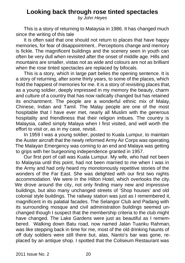# **Looking back through rose tinted spectacles**

*by John Heyes*

 This is a story of returning to Malaysia in 1986. It has changed much since the writing of this tale

 It is often said that one should not return to places that have happy memories, for fear of disappointment.. Perceptions change and memory is fickle. The magnificent buildings and the scenery seen in youth can often be very dull when revisited after the onset of middle age. Hills and mountains are smaller, vistas not as wide and colours are not as brilliant when the rose tinted spectacles are replaced by bifocals.

 This is a story, which in large part belies the opening sentence. It is a story of returning, after some thirty years, to some of the places, which hold the happiest of memories for me. It is a story of revisiting places that, as a young soldier, deeply impressed in my memory the beauty, charm and culture of a country that has now radically changed but has retained its enchantment. The people are a wonderful ethnic mix of Malay, Chinese, Indian and Tamil. The Malay people are one of the most hospitable that I have ever met, nearly all Muslim with the generous hospitality and friendliness that their religion imbues. The country is Malaysia, called simply Malaya when I first visited, and well worth the effort to visit or, as in my case, revisit.

 In 1959 I was a young soldier, posted to Kuala Lumpur, to maintain the Auster aircraft that the newly reformed Army Air Corps was operating. The Malayan Emergency was coming to an end and Malaya was getting to grips with her burgeoning independence granted in 1957.

 Our first port of call was Kuala Lumpur. My wife, who had not been to Malaysia until this point, had not been married to me when I was in the Army and had only heard my monotonously repetitive stories of the wonders of the Far East. She was delighted with our first two nights accommodation. We were in the Hilton Hotel, which overlooks the city. We drove around the city, not only finding many new and impressive buildings, but also many unchanged streets of 'Shop houses' and old colonial style buildings. The railway station was just as I remembered it, magnificent in its palatial facades. The Selangor Club and Padang with its surrounding mosque and civil administration buildings seemed unchanged though I suspect that the membership criteria to the club might have changed. The Lake Gardens were just as beautiful as I remembered. Walking down Batu road, now named Jalan Tuanku Rahman, was like stepping back in time for me, most of the old drinking haunts of off duty soldiers were still there but, alas, Nanto's bar was gone, replaced by an antique shop. I spotted that the Coliseum Restaurant was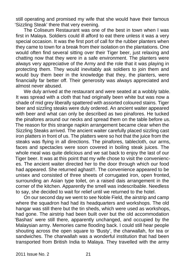still operating and promised my wife that she would have their famous 'Sizzling Steak' there that very evening.

 The Coliseum Restaurant was one of the best in town when I was first in Malaya. Soldiers could ill afford to eat there unless it was a very special occasion. It was the first port of call for the rubber planters when they came to town for a break from their isolation on the plantations. One would often find several sitting over their Tiger beer, just relaxing and chatting now that they were in a safe environment. The planters were always very appreciative of the Army and the role that it was playing in protecting them. They would inevitably ask soldiers to join them and would buy them beer in the knowledge that they, the planters, were financially far better off. Their generosity was always appreciated and almost never abused.

 We duly arrived at the restaurant and were seated at a wobbly table. It was spread with a cloth that had originally been white but was now a shade of mid grey liberally spattered with assorted coloured stains. Tiger beer and sizzling steaks were duly ordered. An ancient waiter appeared with beer and what can only be described as two pinafores. He tucked the pinafores around our necks and spread them on the table before us. The reason for this strange napkin arrangement became clear when the Sizzling Steaks arrived. The ancient waiter carefully placed sizzling cast iron platters in front of us. The platters were so hot that the juice from the steaks was flying in all directions. The pinafores, tablecloth, our arms, faces and spectacles were soon covered in boiling steak juices. The whole meal was quite delicious and we sat back to enjoy the last of our Tiger beer. It was at this point that my wife chose to visit the conveniences. The ancient waiter directed her to the door through which our food had appeared. She returned aghast!!. The convenience appeared to be unisex and consisted of three sheets of corrugated iron, open fronted, surrounding an Asian type toilet, on a raised dais arrangement in the corner of the kitchen. Apparently the smell was indescribable. Needless to say, she decided to wait for relief until we returned to the hotel.

 On our second day we went to see Noble Field, the airstrip and camp where the squadron had had its headquarters and workshops. The old hangar was still there but the tin sheds, which were used as workshops, had gone. The airstrip had been built over but the old accommodation 'Bashas' were still there, apparently unchanged, and occupied by the Malaysian army. Memories came flooding back. I could still hear people shouting across the open square to 'Busty', the charwallah, for tea or sandwiches. The charwallah was a wonderful institution that had been transported from British India to Malaya. They travelled with the army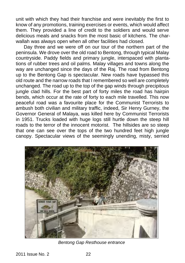unit with which they had their franchise and were inevitably the first to know of any promotions, training exercises or events, which would affect them. They provided a line of credit to the soldiers and would serve delicious meals and snacks from the most basic of kitchens. The charwallah was always open when all other facilities had closed.

 Day three and we were off on our tour of the northern part of the peninsula. We drove over the old road to Bentong, through typical Malay countryside. Paddy fields and primary jungle, interspaced with plantations of rubber trees and oil palms. Malay villages and towns along the way are unchanged since the days of the Raj. The road from Bentong up to the Bentong Gap is spectacular. New roads have bypassed this old route and the narrow roads that I remembered so well are completely unchanged. The road up to the top of the gap winds through precipitous jungle clad hills. For the best part of forty miles the road has hairpin bends, which occur at the rate of forty to each mile travelled. This now peaceful road was a favourite place for the Communist Terrorists to ambush both civilian and military traffic, indeed, Sir Henry Gurney, the Governor General of Malaya, was killed here by Communist Terrorists in 1951. Trucks loaded with huge logs still hurtle down the steep hill roads to the terror of the innocent motorist. The hillsides are so steep that one can see over the tops of the two hundred feet high jungle canopy. Spectacular views of the seemingly unending, misty, serried



*Bentong Gap Resthouse entrance*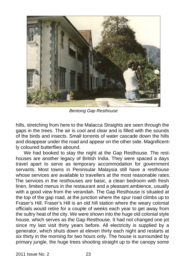

*Bentong Gap Resthouse*

hills, stretching from here to the Malacca Straights are seen through the gaps in the trees. The air is cool and clear and is filled with the sounds of the birds and insects. Small torrents of water cascade down the hills and disappear under the road and appear on the other side. Magnificently coloured butterflies abound.

We had booked to stay the night at the Gap Resthouse. The resthouses are another legacy of British India. They were spaced a days travel apart to serve as temporary accommodation for government servants. Most towns in Peninsular Malaysia still have a resthouse whose services are available to travellers at the most reasonable rates. The services in the resthouses are basic, a clean bedroom with fresh linen, limited menus in the restaurant and a pleasant ambience, usually with a good view from the verandah. The Gap Resthouse is situated at the top of the gap road, at the junction where the spur road climbs up to Fraser's Hill. Fraser's Hill is an old hill station where the weary colonial officials would retire for a couple of weeks each year to get away from the sultry heat of the city. We were shown into the huge old colonial style house, which serves as the Gap Resthouse. It had not changed one jot since my last visit thirty years before. All electricity is supplied by a generator, which shuts down at eleven thirty each night and restarts at six thirty in the morning for two hours only. The house is surrounded by primary jungle, the huge trees shooting straight up to the canopy some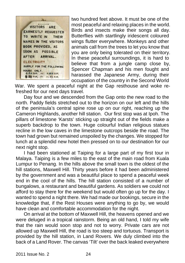

two hundred feet above. It must be one of the most peaceful and relaxing places in the world. Birds and insects make their songs all day. Butterflies with startlingly iridescent coloured wings flutter everywhere. Monkeys and other animals call from the trees to let you know that you are only being tolerated on their territory. In these peaceful surroundings, it is hard to believe that from a jungle camp close by, Spencer Chapman and his men fought and harassed the Japanese Army, during their occupation of the country in the Second World

War. We spent a peaceful night at the Gap resthouse and woke refreshed for our next days travel.

 Day four and we descended from the Gap onto the new road to the north. Paddy fields stretched out to the horizon on our left and the hills of the peninsula's central spine rose up on our right, reaching up the Cameron Highlands, another hill station. Our first stop was at Ipoh. The pillars of limestone 'Karsts' sticking up straight out of the fields make a superb backdrop to the town. Huge colourful Indian religious statues recline in the low caves in the limestone outcrops beside the road. The town had grown but remained unspoiled by the changes. We stopped for lunch at a splendid new hotel then pressed on to our destination for our next night stop.

 I had been stationed at Taiping for a large part of my first tour in Malaya. Taiping is a few miles to the east of the main road from Kuala Lumpur to Penang. In the hills above the small town is the oldest of the hill stations, Maxwell Hill. Thirty years before it had been administered by the government and was a beautiful place to spend a peaceful week end in the cool of the hills. The hill station consisted of a number of bungalows, a restaurant and beautiful gardens. As soldiers we could not afford to stay there for the weekend but would often go up for the day. I wanted to spend a night there. We had made our bookings, secure in the knowledge that, if the Rest Houses were anything to go by, we would have clean and comfortable accommodation for the night.

 On arrival at the bottom of Maxwell Hill, the heavens opened and we were deluged in a tropical rainstorm. Being an old hand, I told my wife that the rain would soon stop and not to worry. Private cars are not allowed up Maxwell Hill, the road is too steep and tortuous. Transport is provided by the hill station, in Land Rovers. We duly climbed into the back of a Land Rover. The canvas 'Tilt' over the back leaked everywhere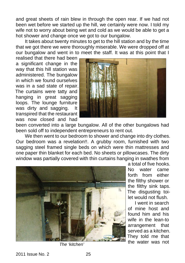and great sheets of rain blew in through the open rear. If we had not been wet before we started up the hill, we certainly were now. I told my wife not to worry about being wet and cold as we would be able to get a hot shower and change once we got to our bungalow.

 It takes about twenty minutes to get to the hill station and by the time that we got there we were thoroughly miserable. We were dropped off at our bungalow and went in to meet the staff. It was at this point that I

realised that there had been a significant change in the way that this hill station was administered. The bungalow in which we found ourselves was in a sad state of repair. The curtains were tatty and hanging in great sagging loops. The lounge furniture was dirty and sagging. It transpired that the restaurant was now closed and had



been converted into a large bungalow. All of the other bungalows had been sold off to independent entrepreneurs to rent out.

We then went to our bedroom to shower and change into dry clothes. Our bedroom was a revelation!!. A grubby room, furnished with two sagging steel framed single beds on which were thin mattresses and one paper thin blanket for each bed. No sheets or pillowcases. The dirty window was partially covered with thin curtains hanging in swathes from



a total of five hooks. No water came forth from either the filthy shower or the filthy sink taps. The disgusting toilet would not flush.

 I went in search of mine host and found him and his wife in the lean-to arrangement that served as a kitchen. They told me that the water was not *The 'kitchen'*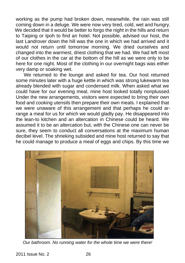working as the pump had broken down, meanwhile, the rain was still coming down in a deluge. We were now very tired, cold, wet and hungry. We decided that it would be better to forgo the night in the hills and return to Taiping or Ipoh to find an hotel. Not possible, advised our host, the last Landrover down the hill was the one in which we had arrived and it would not return until tomorrow morning. We dried ourselves and changed into the warmest, driest clothing that we had. We had left most of our clothes in the car at the bottom of the hill as we were only to be here for one night. Most of the clothing in our overnight bags was either very damp or soaking wet.

 We returned to the lounge and asked for tea. Our host returned some minutes later with a huge kettle in which was strong lukewarm tea already blended with sugar and condensed milk. When asked what we could have for our evening meal, mine host looked totally nonplussed. Under the new arrangements, visitors were expected to bring their own food and cooking utensils then prepare their own meals. I explained that we were unaware of this arrangement and that perhaps he could arrange a meal for us for which we would gladly pay. He disappeared into the lean-to kitchen and an altercation in Chinese could be heard. We assumed it to be an altercation but, with the Chinese one can never be sure, they seem to conduct all conversations at the maximum human decibel level. The shrieking subsided and mine host returned to say that he could manage to produce a meal of eggs and chips. By this time we



*Our bathroom. No running water for the whole time we were there!*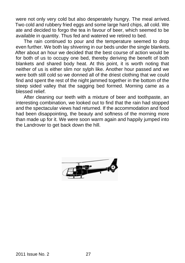were not only very cold but also desperately hungry. The meal arrived. Two cold and rubbery fried eggs and some large hard chips, all cold. We ate and decided to forgo the tea in favour of beer, which seemed to be available in quantity. Thus fed and watered we retired to bed.

 The rain continued to pour and the temperature seemed to drop even further. We both lay shivering in our beds under the single blankets. After about an hour we decided that the best course of action would be for both of us to occupy one bed, thereby deriving the benefit of both blankets and shared body heat. At this point, it is worth noting that neither of us is either slim nor sylph like. Another hour passed and we were both still cold so we donned all of the driest clothing that we could find and spent the rest of the night jammed together in the bottom of the steep sided valley that the sagging bed formed. Morning came as a blessed relief.

 After cleaning our teeth with a mixture of beer and toothpaste, an interesting combination, we looked out to find that the rain had stopped and the spectacular views had returned. If the accommodation and food had been disappointing, the beauty and softness of the morning more than made up for it. We were soon warm again and happily jumped into the Landrover to get back down the hill.

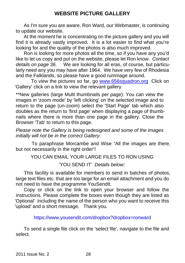# **WEBSITE PICTURE GALLERY**

As I'm sure you are aware, Ron Ward, our Webmaster, is continuing to update our website.

 At the moment he is concentrating on the picture gallery and you will find it is already vastly improved. It is a lot easier to find what you're looking for and the quality of the photos is also much improved.

 Ron is looking for more photos all the time, so if you have any you'd like to let us copy and put on the website, please let Ron know. *Contact details on page 36.* We are looking for all eras, of course, but particularly need any you may have after 1964. We have very few of Rhodesia and the Falklands, so please have a good rummage around.

To view the pictures so far, go www.656squadron.org Click on 'Gallery' click on a link to view the relevant gallery.

\*\*New galleries (large Multi thumbnails per page): You can view the images in 'zoom mode' by 'left clicking' on the selected image and to return to the page (un-zoom) select the 'Start Page' tab which also doubles as the return to 'first page' when displaying a page of thumbnails where there is more than one page in the gallery. Close the Browser 'Tab' to return to this page.

*Please note the Gallery is being redesigned and some of the images initially will not be in the correct Gallery.*

 To paraphrase Morcambe and Wise "All the images are there, but not necessarily in the right order"!

YOU CAN EMAIL YOUR LARGE FILES TO RON USING

'YOU SEND IT' *Details below:*

 This facility is available for members to send in batches of photos, large text files etc. that are too large for an email attachment and you do not need to have the programme YouSendIt.

 Copy or click on the link to open your browser and follow the instructions. Please complete the boxes even though they are listed as 'Optional' including the name of the person who you want to receive this 'upload' and a short message. Thank you.

https://www.yousendit.com/dropbox?dropbox=ronward

 To send a single file click on the 'select file', navigate to the file and select.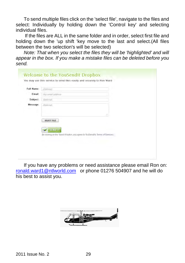To send multiple files click on the 'select file', navigate to the files and select: Individually by holding down the 'Control key' and selecting individual files.

If the files are ALL in the same folder and in order, select first file and holding down the 'up shift 'key move to the last and select.(All files between the two selection's will be selected)

*Note: That when you select the files they will be 'highlighted' and will appear in the box. If you make a mistake files can be deleted before you send.*

| Full Name: | (Optional)                                                                                                               |  |
|------------|--------------------------------------------------------------------------------------------------------------------------|--|
| Email:     | Your email address                                                                                                       |  |
| Subject:   | (Optional)                                                                                                               |  |
| Message:   | (Optional)<br>5                                                                                                          |  |
|            | <b>SELECT FILE</b><br><b>SEND IT</b><br>By clicking on the 'Send it' button, you agree to YouSendIt's Terms of Services. |  |

 If you have any problems or need assistance please email Ron on: ronald.ward1@ntlworld.com or phone 01276 504907 and he will do his best to assist you.

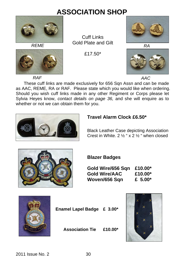# **ASSOCIATION SHOP**





*REME RA* Cuff Links Gold Plate and Gilt

£17.50\*





*RAF*

*AAC*

These cuff links are made exclusively for 656 Sqn Assn and can be made as AAC, REME, RA or RAF. Please state which you would like when ordering. Should you wish cuff links made in any other Regiment or Corps please let Sylvia Heyes know, *contact details on page 36,* and she will enquire as to whether or not we can obtain them for you.



# **Travel Alarm Clock £6.50\***

Black Leather Case depicting Association Crest in White. 2 ½ " x 2 ½ " when closed



## **Blazer Badges**

 **Gold Wire/656 Sqn £10.00\* Gold Wire/AAC £10.00\* Woven/656 Sqn £ 5.00\***



 **Enamel Lapel Badge £ 3.00\***

 **Association Tie £10.00\***

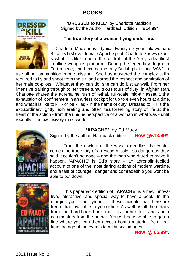# **BOOKS**



#### **'DRESSED to KILL'** by Charlotte Madison Signed by the Author Hardback Edition **£14.99\***

#### **The true story of a woman flying under fire.**

 Charlotte Madison is s typical twenty-six year- old woman. Britain's first ever female Apache pilot, Charlotte knows exactly what it is like to be at the controls of the Army's deadliest frontline weapons platform. During the legendary Jugroom Fort rescue, she became the only British pilot since WW2 to

use all her ammunition in one mission. She has mastered the complex skills required to fly and shoot from the sir, and earned the respect and admiration of her male co-pilots. Whatever they can do, she can do just as well. From her intensive training through to her three tumultuous tours of duty in Afghanistan, Charlotte shares the adrenaline rush of lethal, full-scale mid-air assault, the exhaustion of confinement in an airless cockpit for up to eleven hours at a time, and what it is like to kill - or be killed - in the name of duty. Dressed to Kill is the extraordinary, gritty, exhilarating and often heartbreaking story of life at the heart of the action - from the unique perspective of a woman in what was - until recently - an exclusively male world.



## **'APACHE'** by Ed Macy

Signed by the author Hardback edition **Now @£13.99\***

 From the cockpit of the world's deadliest helicopter comes the true story of a rescue mission so dangerous they said it couldn't be done – and the man who dared to make it happen. 'APACHE' is Ed's story – an adrenalin-fuelled account of one of the most daring actions of modern wartime, and a tale of courage, danger and comradeship you wont be able to put down.



 This paperback edition of '**APACHE'** is a new innovative, interactive, and special way to have a book. In the margins you'll find symbols – these indicate that there are free extras available to you online. As well as all the details from the hard-back book there is further text and audio commentary from the author. You will now be able to go on line where you can then access bonus material, from realtime footage of the events to additional images.

**Now @ £5.99\*.**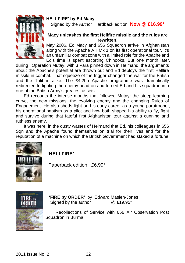#### **HELLFIRE' by Ed Macy**



Signed by the Author Hardback edition **Now @ £16.99\***

#### **Macy unleashes the first Hellfire missile and the rules are rewritten!**

May 2006. Ed Macy and 656 Squadron arrive in Afghanistan along with the Apache AH Mk 1 on its first operational tour. It's an unfamiliar combat zone with a limited role for the Apache and Ed's time is spent escorting Chinooks. But one month later,

during Operation Mutay, with 3 Para pinned down in Helmand, the arguments about the Apache's potential are thrown out and Ed deploys the first Hellfire missile in combat. That squeeze of the trigger changed the war for the British and the Taliban alike. The £4.2bn Apache programme was dramatically redirected to fighting the enemy head-on and turned Ed and his squadron into one of the British Army's greatest assets.

 Ed recounts the intense months that followed Mutay: the steep learning curve, the new missions, the evolving enemy and the changing Rules of Engagement. He also sheds light on his early career as a young paratrooper, his operational baptism as a pilot and how both shaped his ability to fly, fight and survive during that fateful first Afghanistan tour against a cunning and ruthless enemy.

It was here, in the dusty wastes of Helmand that Ed, his colleagues in 656 Sqn and the Apache found themselves on trial for their lives and for the reputation of a machine on which the British Government had staked a fortune.



**'HELLFIRE'**

Paperback edition £6.99\*



**'FIRE by ORDER'** by Edward Maslen-Jones<br>Signed by the author  $\omega$  f 19.95\* Signed by the author

 Recollections of Service with 656 Air Observation Post Squadron in Burma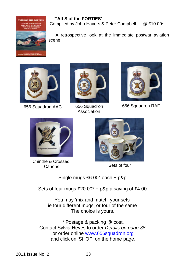# **AILS OF THE FORTH**

#### **'TAILS of the FORTIES'**

Compiled by John Havers & Peter Campbell @ £10.00\*

 A retrospective look at the immediate postwar aviation scene



656 Squadron AAC 656 Squadron



Association



656 Squadron RAF



Chinthe & Crossed<br>Canons



Sets of four

Single mugs £6.00\* each + p&p

Sets of four mugs  $£20.00* + p&p$  a saving of  $£4.00$ 

You may 'mix and match' your sets ie four different mugs, or four of the same The choice is yours.

\* Postage & packing @ cost. Contact Sylvia Heyes to order *Details on page 36* or order online www.656squadron.org and click on 'SHOP' on the home page.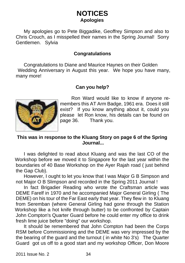# **NOTICES Apologies**

My apologies go to Pete Biggadike, Geoffrey Simpson and also to Chris Crouch, as I misspelled their names in the Spring Journal! Sorry Gentlemen. Sylvia

## **Congratulations**

 Congratulations to Diane and Maurice Haynes on their Golden Wedding Anniversary in August this year. We hope you have many, many more!

## **Can you help?**



 Ron Ward would like to know if anyone remembers this AT Arm Badge, 1961 era. Does it still exist? If you know anything about it, could you please let Ron know, his details can be found on page 36. Thank you.

#### **This was in response to the Kluang Story on page 6 of the Spring Journal...**

 I was delighted to read about Kluang and was the last CO of the Workshop before we moved it to Singapore for the last year within the boundaries of 40 Base Workshop on the Ayer Rajah road ( just behind the Gap Club).

 However, I ought to let you know that I was Major G B Simpson and not Major O B Slimpson and recorded in the Spring 2011 Journal !

 In fact Brigadier Reading who wrote the Craftsman article was DEME Farelf in 1970 and he accompanied Major General Girling ( The DEME) on his tour of the Far East early that year. They flew in to Kluang from Seremban (where General Girling had gone through the Station Workshop like a hot knife through butter) to be confronted by Captain John Compton's Quarter Guard before he could enter my office to drink fresh lime juice before "doing" our workshop.

 It should be remembered that John Compton had been the Corps RSM before Commissioning and the DEME was very impressed by the the bearing of the guard and the turnout ( in white No 3's) The Quarter Guard got us off to a good start and my workshop Officer, Don Moore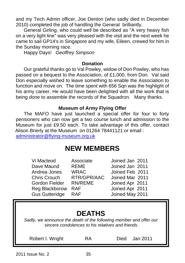and my Tech Admin officer, Joe Denton (who sadly died in December 2010) completed the job of handling the General brilliantly.

 General Girling, who could well be described as "A very heavy fish on a very light line" was very pleased with the visit and the next week he came to sail GP14's in Singapore and my wife, Eileen, crewed for him in the Sunday morning race.

Happy Days! *Geoffrey Simpson*

#### **Donation**

 Our grateful thanks go to Val Powley, widow of Don Powley, who has passed on a bequest to the Association, of £1,000, from Don. Val said Don especially wished to leave something to enable the Association to function and move on. The time spent with 656 Sqn was the highlight of his army career. He would have been delighted with all the work that is being done to assemble the records of the Squadron. Many thanks.

## **Museum of Army Flying Offer**

The MAFO have just launched a special offer for four to forty pensioners who can now get a two course lunch and admission to the Museum for just £9.50 each. To take advantage of this offer, contact Alison Brierly at the Museum on 01264 78441121 or email :

administrator@flying-museum.org.uk

# **NEW MEMBERS**

| Vi Macleod                                                                          | Associate      | Joined Jan 2011 |  |  |  |  |  |  |
|-------------------------------------------------------------------------------------|----------------|-----------------|--|--|--|--|--|--|
| Dave Maund                                                                          | REME           | Joined Jan 2011 |  |  |  |  |  |  |
| Andrea Jones                                                                        | <b>WRAC</b>    | Joined Feb 2011 |  |  |  |  |  |  |
| Chris Crouch                                                                        | RTR/GPR/AAC    | Joined Mar 2011 |  |  |  |  |  |  |
| Gordon Fielder                                                                      | <b>RN/REME</b> | Joined Apr 2011 |  |  |  |  |  |  |
| Reg Blackborow                                                                      | <b>RAF</b>     | Joined Apr 2011 |  |  |  |  |  |  |
| <b>Gus Gutteridge</b>                                                               | <b>RAF</b>     | Joined May 2011 |  |  |  |  |  |  |
| <b>DEATHS</b><br>Cooks us concurso the death of the following propose and offer our |                |                 |  |  |  |  |  |  |

*Sadly, we announce the death of the following member and offer our sincere condolences to his relatives and friends.*

Robert I. Wright **RA** Died Jan 2011